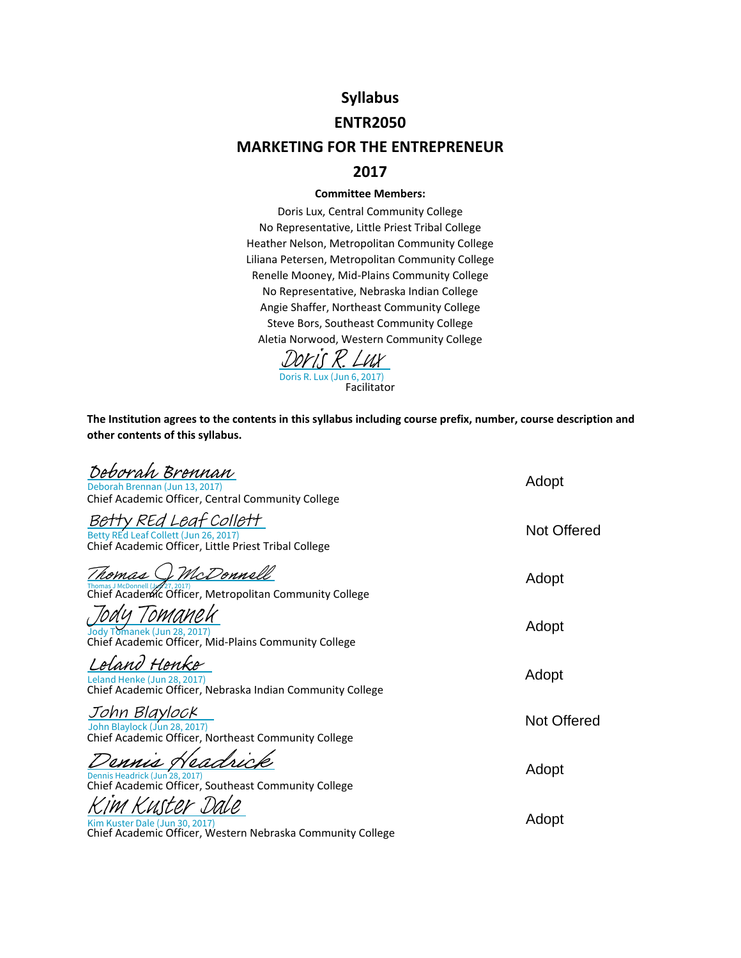# **Syllabus**

#### **ENTR2050**

# **MARKETING FOR THE ENTREPRENEUR**

## **2017**

#### **Committee Members:**

Doris Lux, Central Community College No Representative, Little Priest Tribal College Heather Nelson, Metropolitan Community College Liliana Petersen, Metropolitan Community College Renelle Mooney, Mid‐Plains Community College No Representative, Nebraska Indian College Angie Shaffer, Northeast Community College Steve Bors, Southeast Community College Aletia Norwood, Western Community College



**The Institution agrees to the contents in this syllabus including course prefix, number, course description and other contents of this syllabus.**

| Deborah Brennan<br>Deborah Brennan (Jun 13, 2017)<br>Chief Academic Officer, Central Community College               | Adopt              |
|----------------------------------------------------------------------------------------------------------------------|--------------------|
| tv REd Leaf Collett<br>Betty REd Leaf Collett (Jun 26, 2017)<br>Chief Academic Officer, Little Priest Tribal College | Not Offered        |
| McDonnell<br>Chief Academic Officer, Metropolitan Community College                                                  | Adopt              |
| Jody Tomanek (Jun 28, 2017)<br>Chief Academic Officer, Mid-Plains Community College                                  | Adopt              |
| eland Henke<br>Leland Henke (Jun 28, 2017)<br>Chief Academic Officer, Nebraska Indian Community College              | Adopt              |
| John Blaylock<br>John Blaylock (Jun 28, 2017)<br>Chief Academic Officer, Northeast Community College                 | <b>Not Offered</b> |
| Dennis Headrick (Jun 28, 2017)<br>Chief Academic Officer, Southeast Community College                                | Adopt              |
| Kim Kuster Dale (Jun 30, 2017)<br>Chief Academic Officer, Western Nebraska Community College                         | Adopt              |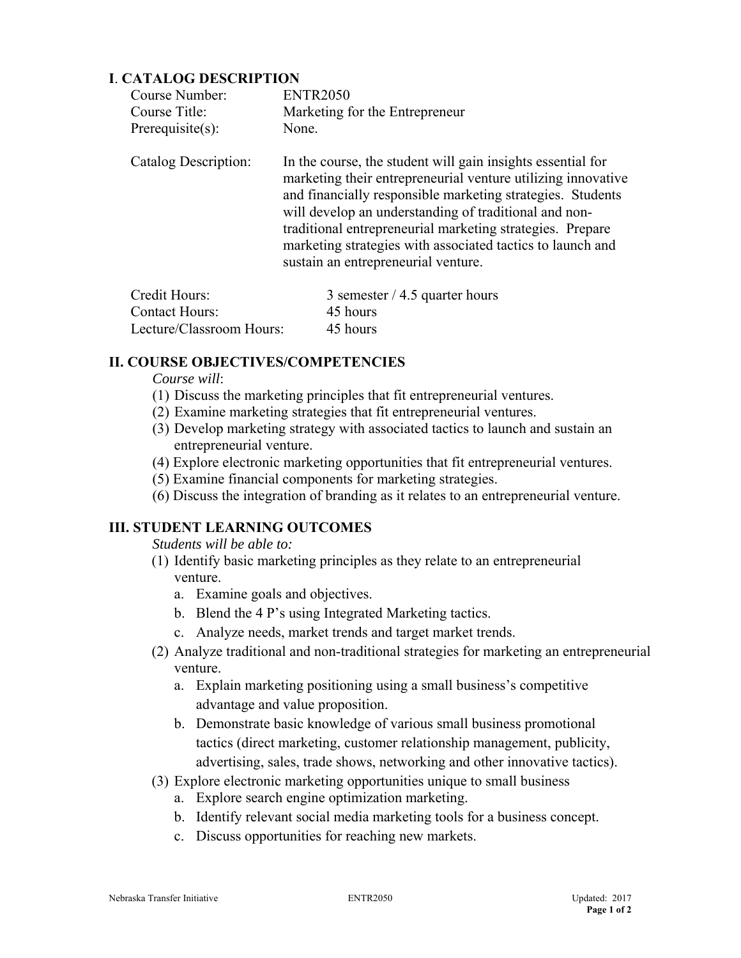## **I**. **CATALOG DESCRIPTION**

| Course Number:       | <b>ENTR2050</b>                                                                                                                                                                                                                                                                                                                                                                                                      |
|----------------------|----------------------------------------------------------------------------------------------------------------------------------------------------------------------------------------------------------------------------------------------------------------------------------------------------------------------------------------------------------------------------------------------------------------------|
| Course Title:        | Marketing for the Entrepreneur                                                                                                                                                                                                                                                                                                                                                                                       |
| Prerequisite $(s)$ : | None.                                                                                                                                                                                                                                                                                                                                                                                                                |
| Catalog Description: | In the course, the student will gain insights essential for<br>marketing their entrepreneurial venture utilizing innovative<br>and financially responsible marketing strategies. Students<br>will develop an understanding of traditional and non-<br>traditional entrepreneurial marketing strategies. Prepare<br>marketing strategies with associated tactics to launch and<br>sustain an entrepreneurial venture. |

| Credit Hours:            | 3 semester $/$ 4.5 quarter hours |
|--------------------------|----------------------------------|
| <b>Contact Hours:</b>    | 45 hours                         |
| Lecture/Classroom Hours: | 45 hours                         |

## **II. COURSE OBJECTIVES/COMPETENCIES**

 *Course will*:

- (1) Discuss the marketing principles that fit entrepreneurial ventures.
- (2) Examine marketing strategies that fit entrepreneurial ventures.
- (3) Develop marketing strategy with associated tactics to launch and sustain an entrepreneurial venture.
- (4) Explore electronic marketing opportunities that fit entrepreneurial ventures.
- (5) Examine financial components for marketing strategies.
- (6) Discuss the integration of branding as it relates to an entrepreneurial venture.

# **III. STUDENT LEARNING OUTCOMES**

*Students will be able to:* 

- (1) Identify basic marketing principles as they relate to an entrepreneurial venture.
	- a. Examine goals and objectives.
	- b. Blend the 4 P's using Integrated Marketing tactics.
	- c. Analyze needs, market trends and target market trends.
- (2) Analyze traditional and non-traditional strategies for marketing an entrepreneurial venture.
	- a. Explain marketing positioning using a small business's competitive advantage and value proposition.
	- b. Demonstrate basic knowledge of various small business promotional tactics (direct marketing, customer relationship management, publicity, advertising, sales, trade shows, networking and other innovative tactics).
- (3) Explore electronic marketing opportunities unique to small business
	- a. Explore search engine optimization marketing.
	- b. Identify relevant social media marketing tools for a business concept.
	- c. Discuss opportunities for reaching new markets.